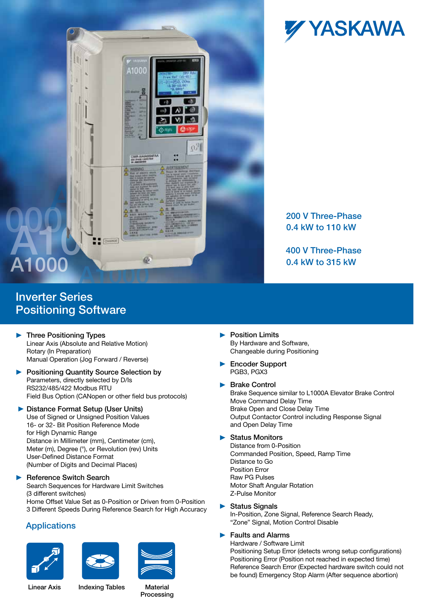

Inverter Series Positioning Software

- **Three Positioning Types** Linear Axis (Absolute and Relative Motion) Rotary (In Preparation) Manual Operation (Jog Forward / Reverse)
- **Positioning Quantity Source Selection by** Parameters, directly selected by D/Is RS232/485/422 Modbus RTU Field Bus Option (CANopen or other field bus protocols)
- ▶ Distance Format Setup (User Units) Use of Signed or Unsigned Position Values 16- or 32- Bit Position Reference Mode for High Dynamic Range Distance in Millimeter (mm), Centimeter (cm), Distance in Millimeter (min), Centimeter (Crit),<br>Meter (m), Degree (°), or Revolution (rev) Units User-Defined Distance Format (Number of Digits and Decimal Places) Winders

#### ь Reference Switch Search

Search Sequences for Hardware Limit Switches (3 different switches) Home Offset Value Set as 0-Position or Driven from 0-Position 3 Different Speeds During Reference Search for High Accuracy **Status Signals**<br>In-Position Zone

## **Applications**









# 200 V Three-Phase 0.4 kW to 110 kW

400 V Three-Phase 0.4 kW to 315 kW

- **Position Limits** By Hardware and Software, Changeable during Positioning
- ▶ Encoder Support PGB3, PGX3

#### ▶ Brake Control

Brake Sequence similar to L1000A Elevator Brake Control Move Command Delay Time Brake Open and Close Delay Time Output Contactor Control including Response Signal and Open Delay Time

### ▶ Status Monitors

Distance from 0-Position Commanded Position, Speed, Ramp Time Distance to Go Position Error Raw PG Pulses Motor Shaft Angular Rotation Z-Pulse Monitor

▶ Status Signals In-Position, Zone Signal, Reference Search Ready, "Zone" Signal, Motion Control Disable

### $\blacktriangleright$  Faults and Alarms

Hardware / Software Limit Positioning Setup Error (detects wrong setup configurations) Positioning Error (Position not reached in expected time) Reference Search Error (Expected hardware switch could not be found) Emergency Stop Alarm (After sequence abortion)

Linear Axis lndexing Tables Material

Processing